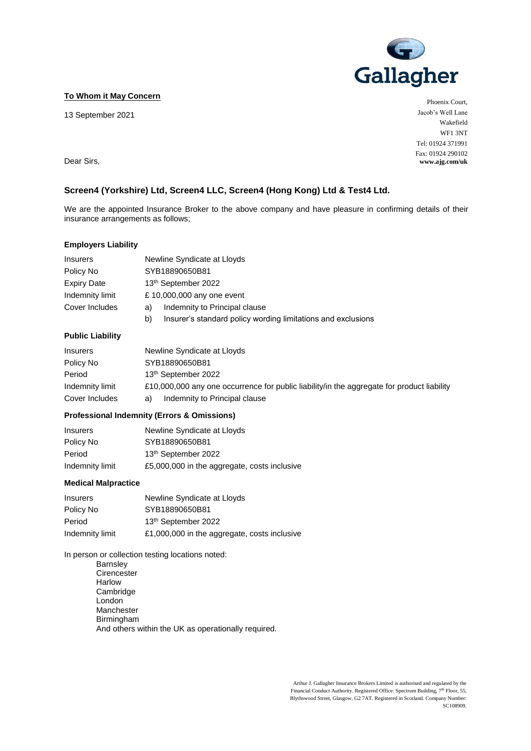

**To Whom it May Concern**

13 September 2021

Phoenix Court, Jacob's Well Lane Wakefield WF1 3NT Tel: 01924 371991 Fax: 01924 290102 **www.ajg.com/uk**

Dear Sirs,

## **Screen4 (Yorkshire) Ltd, Screen4 LLC, Screen4 (Hong Kong) Ltd & Test4 Ltd.**

We are the appointed Insurance Broker to the above company and have pleasure in confirming details of their insurance arrangements as follows;

#### **Employers Liability**

| <b>Insurers</b>    | Newline Syndicate at Lloyds                                        |  |
|--------------------|--------------------------------------------------------------------|--|
| Policy No          | SYB18890650B81                                                     |  |
| <b>Expiry Date</b> | 13 <sup>th</sup> September 2022                                    |  |
| Indemnity limit    | £10,000,000 any one event                                          |  |
| Cover Includes     | Indemnity to Principal clause<br>a)                                |  |
|                    | Insurer's standard policy wording limitations and exclusions<br>b) |  |

# **Public Liability**

| <b>Insurers</b> | Newline Syndicate at Lloyds                                                                |  |
|-----------------|--------------------------------------------------------------------------------------------|--|
| Policy No       | SYB18890650B81                                                                             |  |
| Period          | 13 <sup>th</sup> September 2022                                                            |  |
| Indemnity limit | £10,000,000 any one occurrence for public liability/in the aggregate for product liability |  |
| Cover Includes  | Indemnity to Principal clause<br>a)                                                        |  |

### **Professional Indemnity (Errors & Omissions)**

| <b>Insurers</b> | Newline Syndicate at Lloyds                  |
|-----------------|----------------------------------------------|
| Policy No       | SYB18890650B81                               |
| Period          | 13 <sup>th</sup> September 2022              |
| Indemnity limit | £5,000,000 in the aggregate, costs inclusive |

### **Medical Malpractice**

| Insurers        | Newline Syndicate at Lloyds                  |
|-----------------|----------------------------------------------|
| Policy No       | SYB18890650B81                               |
| Period          | 13 <sup>th</sup> September 2022              |
| Indemnity limit | £1,000,000 in the aggregate, costs inclusive |

In person or collection testing locations noted:

Barnsley **Cirencester** Harlow Cambridge London Manchester Birmingham And others within the UK as operationally required.